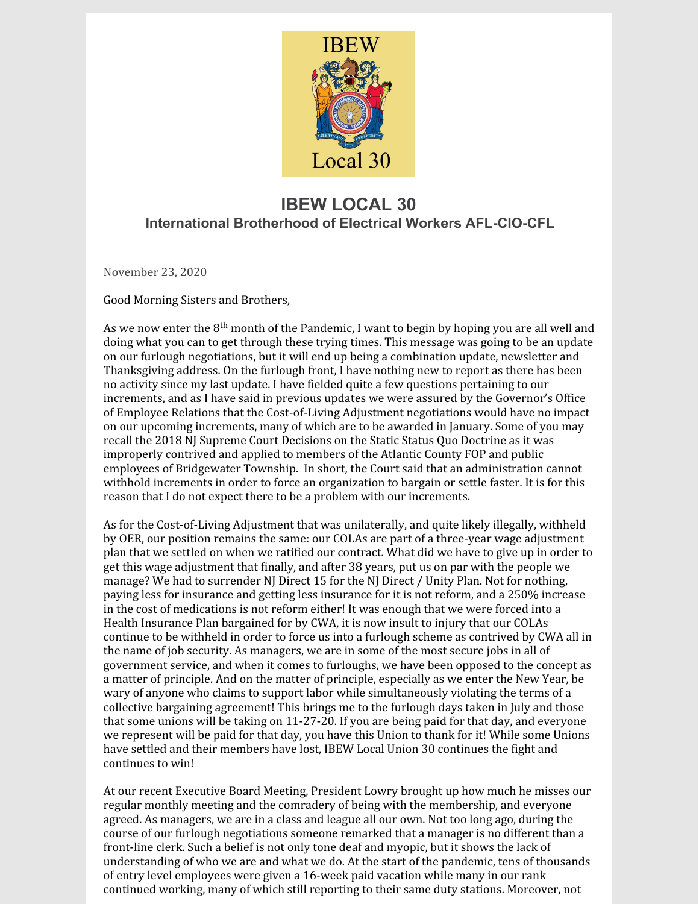

## **IBEW LOCAL 30 International Brotherhood of Electrical Workers AFL-CIO-CFL**

November 23, 2020

Good Morning Sisters and Brothers,

As we now enter the 8<sup>th</sup> month of the Pandemic, I want to begin by hoping you are all well and doing what you can to get through these trying times. This message was going to be an update on our furlough negotiations, but it will end up being a combination update, newsletter and Thanksgiving address. On the furlough front, I have nothing new to report as there has been no activity since my last update. I have fielded quite a few questions pertaining to our increments, and as I have said in previous updates we were assured by the Governor's Office of Employee Relations that the Cost-of-Living Adjustment negotiations would have no impact on our upcoming increments, many of which are to be awarded in January. Some of you may recall the 2018 NJ Supreme Court Decisions on the Static Status Quo Doctrine as it was improperly contrived and applied to members of the Atlantic County FOP and public employees of Bridgewater Township. In short, the Court said that an administration cannot withhold increments in order to force an organization to bargain or settle faster. It is for this reason that I do not expect there to be a problem with our increments.

As for the Cost-of-Living Adjustment that was unilaterally, and quite likely illegally, withheld by OER, our position remains the same: our COLAs are part of a three-year wage adjustment plan that we settled on when we ratified our contract. What did we have to give up in order to get this wage adjustment that finally, and after 38 years, put us on par with the people we manage? We had to surrender NJ Direct 15 for the NJ Direct / Unity Plan. Not for nothing, paying less for insurance and getting less insurance for it is not reform, and a 250% increase in the cost of medications is not reform either! It was enough that we were forced into a Health Insurance Plan bargained for by CWA, it is now insult to injury that our COLAs continue to be withheld in order to force us into a furlough scheme as contrived by CWA all in the name of job security. As managers, we are in some of the most secure jobs in all of government service, and when it comes to furloughs, we have been opposed to the concept as a matter of principle. And on the matter of principle, especially as we enter the New Year, be wary of anyone who claims to support labor while simultaneously violating the terms of a collective bargaining agreement! This brings me to the furlough days taken in July and those that some unions will be taking on 11-27-20. If you are being paid for that day, and everyone we represent will be paid for that day, you have this Union to thank for it! While some Unions have settled and their members have lost, IBEW Local Union 30 continues the fight and continues to win!

At our recent Executive Board Meeting, President Lowry brought up how much he misses our regular monthly meeting and the comradery of being with the membership, and everyone agreed. As managers, we are in a class and league all our own. Not too long ago, during the course of our furlough negotiations someone remarked that a manager is no different than a front-line clerk. Such a belief is not only tone deaf and myopic, but it shows the lack of understanding of who we are and what we do. At the start of the pandemic, tens of thousands of entry level employees were given a 16-week paid vacation while many in our rank continued working, many of which still reporting to their same duty stations. Moreover, not